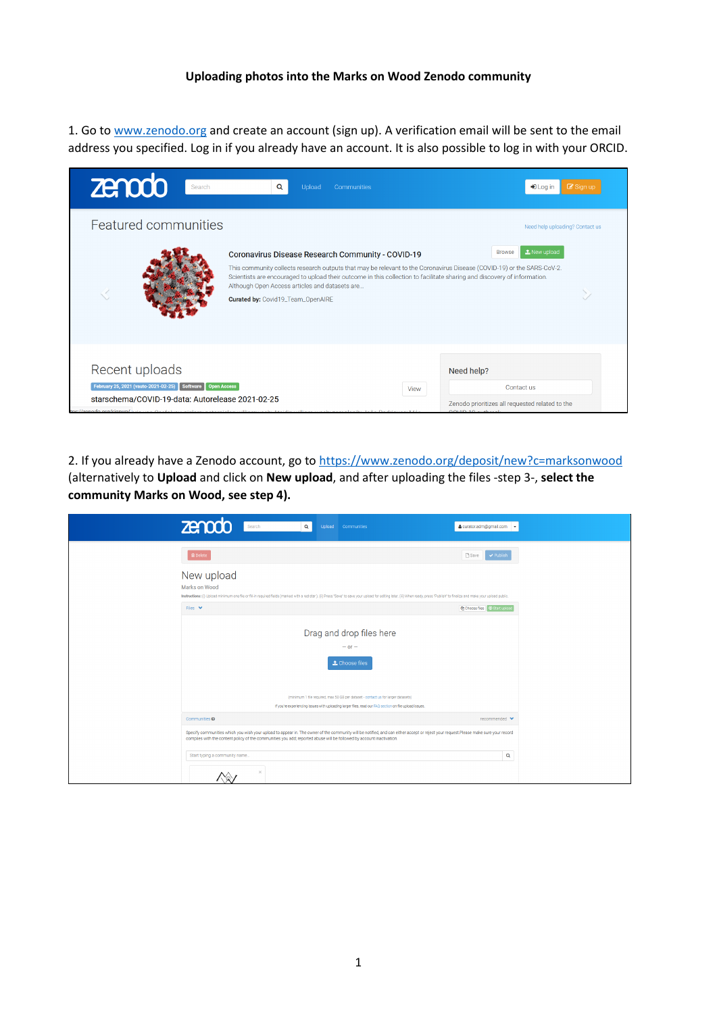## **Uploading photos into the Marks on Wood Zenodo community**

1. Go t[o www.zenodo.org](http://www.zenodo.org/) and create an account (sign up). A verification email will be sent to the email address you specified. Log in if you already have an account. It is also possible to log in with your ORCID.

| zenodo<br>Search                                                                                                                               | Q<br>Upload<br>Communities                                                                                                                                                                                                                                                                                                                                                                            | $\mathbb Z$ Sign up<br>$\bigstar$ Log in                                                         |
|------------------------------------------------------------------------------------------------------------------------------------------------|-------------------------------------------------------------------------------------------------------------------------------------------------------------------------------------------------------------------------------------------------------------------------------------------------------------------------------------------------------------------------------------------------------|--------------------------------------------------------------------------------------------------|
| Featured communities                                                                                                                           |                                                                                                                                                                                                                                                                                                                                                                                                       | Need help uploading? Contact us                                                                  |
|                                                                                                                                                | Coronavirus Disease Research Community - COVID-19<br>This community collects research outputs that may be relevant to the Coronavirus Disease (COVID-19) or the SARS-CoV-2.<br>Scientists are encouraged to upload their outcome in this collection to facilitate sharing and discovery of information.<br>Although Open Access articles and datasets are<br><b>Curated by: Covid19_Team_OpenAIRE</b> | t New upload<br><b>Browse</b>                                                                    |
| Recent uploads<br>February 25, 2021 (vauto-2021-02-25) Software<br>starschema/COVID-19-data: Autorelease 2021-02-25<br>he://zenodo.org/signup/ | <b>Open Access</b><br>View                                                                                                                                                                                                                                                                                                                                                                            | Need help?<br>Contact us<br>Zenodo prioritizes all requested related to the<br>OMIB.10 with rank |

2. If you already have a Zenodo account, go to<https://www.zenodo.org/deposit/new?c=marksonwood> (alternatively to **Upload** and click on **New upload**, and after uploading the files -step 3-, **select the community Marks on Wood, see step 4).**

| zenodo<br>$\alpha$<br>Search<br>Upload Communities                                                                                                                                                                                                                                                           | & curator.adm@gmail.com                        |
|--------------------------------------------------------------------------------------------------------------------------------------------------------------------------------------------------------------------------------------------------------------------------------------------------------------|------------------------------------------------|
| <b>龠</b> Delete                                                                                                                                                                                                                                                                                              | <b>B</b> Save<br>$\blacktriangleright$ Publish |
| New upload<br>Marks on Wood<br>Instructions: (i) Upload minimum one file or fill-in required fields (marked with a red star). (ii) Press "Save" to save your upload for editing later. (iii) When ready, press "Publish" to finalize and make your upload pub                                                |                                                |
| Files $\vee$                                                                                                                                                                                                                                                                                                 |                                                |
| Drag and drop files here<br>$-$ or $-$<br>t Choose files<br>(minimum 1 file required, max 50 GB per dataset - contact us for larger datasets)                                                                                                                                                                |                                                |
| If you're experiencing issues with uploading larger files, read our FAQ section on file upload issues.                                                                                                                                                                                                       |                                                |
| Communities <sup>@</sup>                                                                                                                                                                                                                                                                                     | recommended ♥                                  |
| Specify communities which you wish your upload to appear in. The owner of the community will be notified, and can either accept or reject your request.Please make sure your record<br>complies with the content policy of the communities you add; reported abuse will be followed by account inactivation. |                                                |
| Start typing a community name<br>$\times$                                                                                                                                                                                                                                                                    | $\mathbf Q$                                    |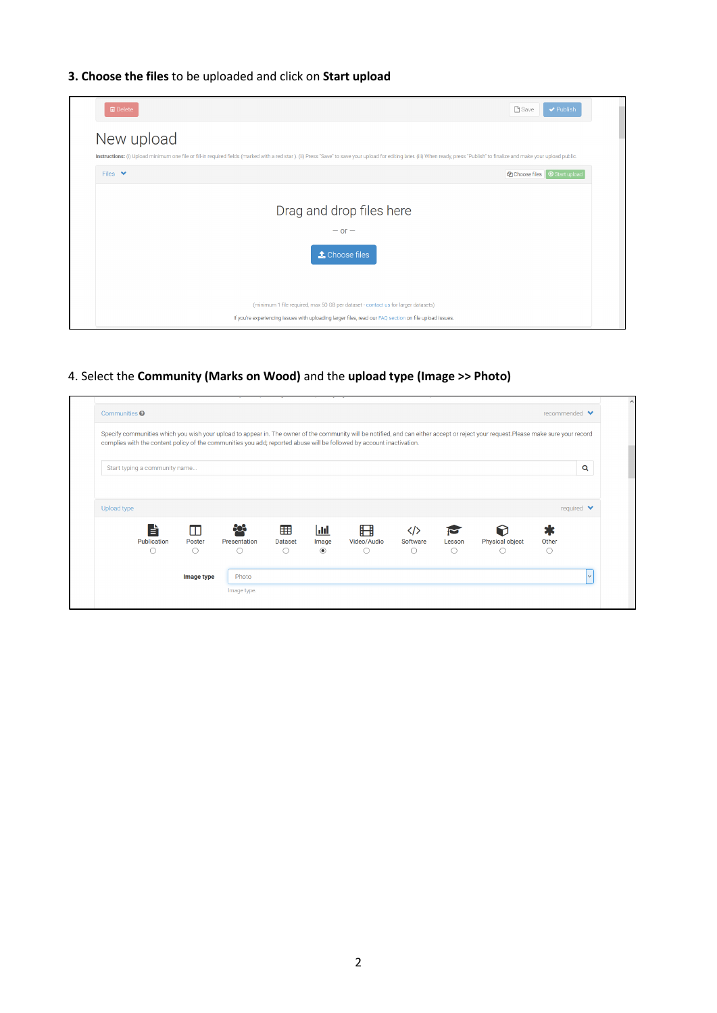## **3. Choose the files** to be uploaded and click on **Start upload**



4. Select the **Community (Marks on Wood)** and the **upload type (Image >> Photo)**

|             |                               |        |              |                |                   | complies with the content policy of the communities you add; reported abuse will be followed by account inactivation. |                 |            | Specify communities which you wish your upload to appear in. The owner of the community will be notified, and can either accept or reject your request.Please make sure your record |        |                                |
|-------------|-------------------------------|--------|--------------|----------------|-------------------|-----------------------------------------------------------------------------------------------------------------------|-----------------|------------|-------------------------------------------------------------------------------------------------------------------------------------------------------------------------------------|--------|--------------------------------|
|             |                               |        |              |                |                   |                                                                                                                       |                 |            |                                                                                                                                                                                     |        |                                |
|             | Start typing a community name |        |              |                |                   |                                                                                                                       |                 |            |                                                                                                                                                                                     |        | Q                              |
|             |                               |        |              |                |                   |                                                                                                                       |                 |            |                                                                                                                                                                                     |        |                                |
|             |                               |        |              |                |                   |                                                                                                                       |                 |            |                                                                                                                                                                                     |        |                                |
| Upload type |                               |        |              |                |                   |                                                                                                                       |                 |            |                                                                                                                                                                                     |        | required $\blacktriangleright$ |
|             | È                             | π      | දිරිදි       | 囲              |                   |                                                                                                                       |                 |            |                                                                                                                                                                                     |        |                                |
|             | Publication                   | Poster | Presentation | <b>Dataset</b> | Jil<br>Image      | 盰<br>Video/Audio                                                                                                      | く/><br>Software | Lesson     | Physical object                                                                                                                                                                     | Other  |                                |
|             | O                             | ◠      | O            | Ω              | $_{\circledcirc}$ | (                                                                                                                     | Ω               | $\bigcirc$ | O                                                                                                                                                                                   | $\cap$ |                                |
|             |                               |        |              |                |                   |                                                                                                                       |                 |            |                                                                                                                                                                                     |        |                                |
|             |                               |        |              |                |                   |                                                                                                                       |                 |            |                                                                                                                                                                                     |        |                                |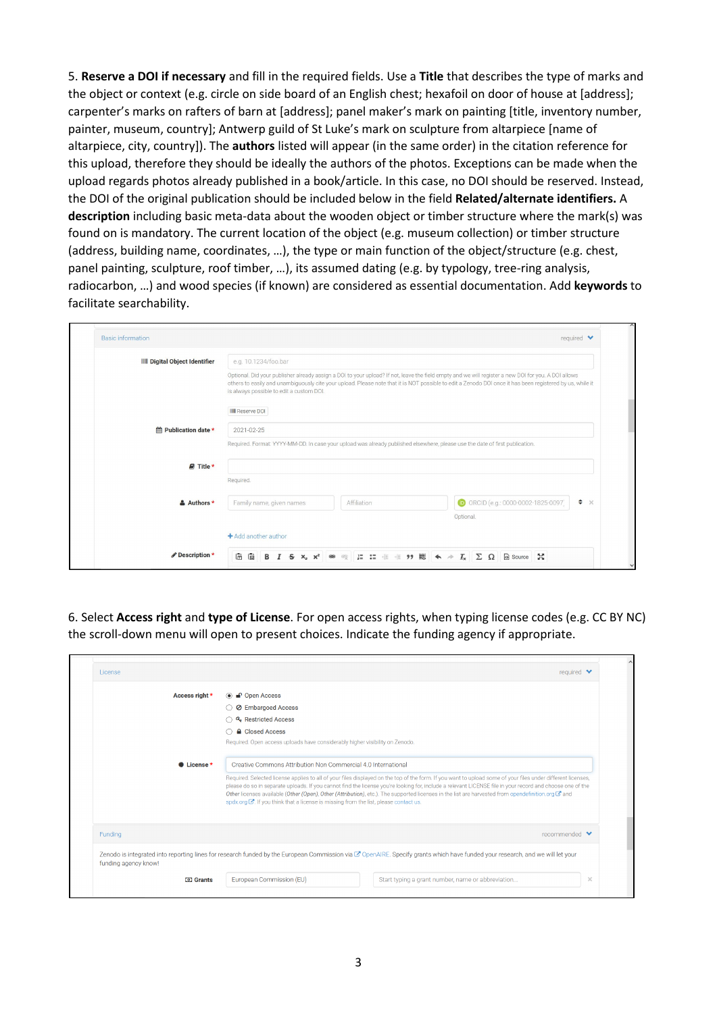5. **Reserve a DOI if necessary** and fill in the required fields. Use a **Title** that describes the type of marks and the object or context (e.g. circle on side board of an English chest; hexafoil on door of house at [address]; carpenter's marks on rafters of barn at [address]; panel maker's mark on painting [title, inventory number, painter, museum, country]; Antwerp guild of St Luke's mark on sculpture from altarpiece [name of altarpiece, city, country]). The **authors** listed will appear (in the same order) in the citation reference for this upload, therefore they should be ideally the authors of the photos. Exceptions can be made when the upload regards photos already published in a book/article. In this case, no DOI should be reserved. Instead, the DOI of the original publication should be included below in the field **Related/alternate identifiers.** A **description** including basic meta-data about the wooden object or timber structure where the mark(s) was found on is mandatory. The current location of the object (e.g. museum collection) or timber structure (address, building name, coordinates, …), the type or main function of the object/structure (e.g. chest, panel painting, sculpture, roof timber, …), its assumed dating (e.g. by typology, tree-ring analysis, radiocarbon, …) and wood species (if known) are considered as essential documentation. Add **keywords** to facilitate searchability.

| <b>III</b> Digital Object Identifier | e.g. 10.1234/foo.bar                                                                                                                                                                             |  |                                                                                                                                                           |
|--------------------------------------|--------------------------------------------------------------------------------------------------------------------------------------------------------------------------------------------------|--|-----------------------------------------------------------------------------------------------------------------------------------------------------------|
|                                      | Optional. Did your publisher already assign a DOI to your upload? If not, leave the field empty and we will register a new DOI for you. A DOI allows<br>is always possible to edit a custom DOI. |  | others to easily and unambiguously cite your upload. Please note that it is NOT possible to edit a Zenodo DOI once it has been registered by us, while it |
|                                      | <b>I</b> Reserve DOI                                                                                                                                                                             |  |                                                                                                                                                           |
| ₩ Publication date *                 | 2021-02-25                                                                                                                                                                                       |  |                                                                                                                                                           |
|                                      | Required. Format: YYYY-MM-DD. In case your upload was already published elsewhere, please use the date of first publication.                                                                     |  |                                                                                                                                                           |
| <b>■</b> Title *                     |                                                                                                                                                                                                  |  |                                                                                                                                                           |
|                                      | Required.                                                                                                                                                                                        |  |                                                                                                                                                           |
| & Authors *                          | Family name, given names<br>Affiliation                                                                                                                                                          |  | $\div$ %<br>ORCID (e.g.: 0000-0002-1825-0097)                                                                                                             |
|                                      |                                                                                                                                                                                                  |  | Optional.                                                                                                                                                 |
|                                      | + Add another author                                                                                                                                                                             |  |                                                                                                                                                           |

6. Select **Access right** and **type of License**. For open access rights, when typing license codes (e.g. CC BY NC) the scroll-down menu will open to present choices. Indicate the funding agency if appropriate.

| License              | required $\blacktriangleright$                                                                                                                                                |                                                                                                                                                                                                                                                                                                                                                                                                                                                                                                                                                                                      |  |  |  |                                                                              |
|----------------------|-------------------------------------------------------------------------------------------------------------------------------------------------------------------------------|--------------------------------------------------------------------------------------------------------------------------------------------------------------------------------------------------------------------------------------------------------------------------------------------------------------------------------------------------------------------------------------------------------------------------------------------------------------------------------------------------------------------------------------------------------------------------------------|--|--|--|------------------------------------------------------------------------------|
| Access right *       | $\circ$ $\bullet$ Open Access                                                                                                                                                 |                                                                                                                                                                                                                                                                                                                                                                                                                                                                                                                                                                                      |  |  |  |                                                                              |
|                      | ◯ ⊘ Embargoed Access<br>◯ & Restricted Access<br><b>A</b> Closed Access                                                                                                       |                                                                                                                                                                                                                                                                                                                                                                                                                                                                                                                                                                                      |  |  |  |                                                                              |
|                      |                                                                                                                                                                               |                                                                                                                                                                                                                                                                                                                                                                                                                                                                                                                                                                                      |  |  |  | Required. Open access uploads have considerably higher visibility on Zenodo. |
|                      |                                                                                                                                                                               |                                                                                                                                                                                                                                                                                                                                                                                                                                                                                                                                                                                      |  |  |  | <b><math>#</math></b> License *                                              |
|                      |                                                                                                                                                                               | Required. Selected license applies to all of your files displayed on the top of the form. If you want to upload some of your files under different licenses,<br>please do so in separate uploads. If you cannot find the license you're looking for, include a relevant LICENSE file in your record and choose one of the<br>Other licenses available (Other (Open), Other (Attribution), etc.). The supported licenses in the list are harvested from opendefinition.org C' and<br>spdx.org $\mathbb{Z}$ . If you think that a license is missing from the list, please contact us. |  |  |  |                                                                              |
| Funding              | $reconnected \blacktriangleright$                                                                                                                                             |                                                                                                                                                                                                                                                                                                                                                                                                                                                                                                                                                                                      |  |  |  |                                                                              |
| funding agency know! | Zenodo is integrated into reporting lines for research funded by the European Commission via G OpenAIRE. Specify grants which have funded your research, and we will let your |                                                                                                                                                                                                                                                                                                                                                                                                                                                                                                                                                                                      |  |  |  |                                                                              |
|                      | European Commission (EU)<br>Start typing a grant number, name or abbreviation<br>$\times$                                                                                     |                                                                                                                                                                                                                                                                                                                                                                                                                                                                                                                                                                                      |  |  |  |                                                                              |